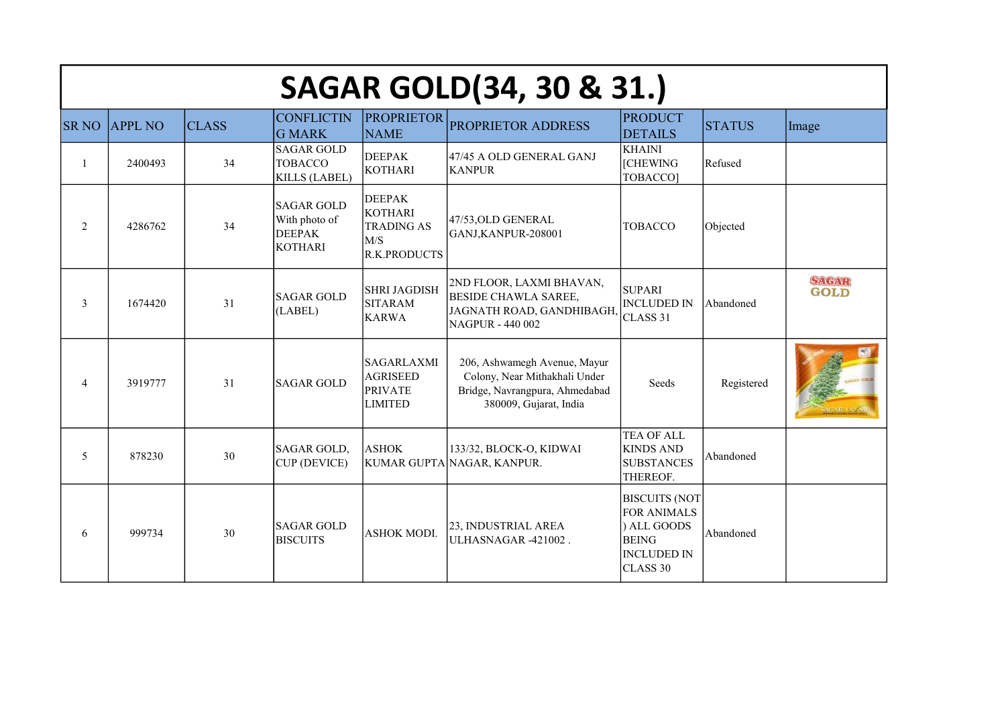|                | <b>SAGAR GOLD(34, 30 &amp; 31.)</b> |              |                                                                       |                                                                                    |                                                                                                                           |                                                                                                             |               |                      |  |  |
|----------------|-------------------------------------|--------------|-----------------------------------------------------------------------|------------------------------------------------------------------------------------|---------------------------------------------------------------------------------------------------------------------------|-------------------------------------------------------------------------------------------------------------|---------------|----------------------|--|--|
| <b>SR NO</b>   | <b>APPL NO</b>                      | <b>CLASS</b> | <b>CONFLICTIN</b><br><b>G MARK</b>                                    | <b>PROPRIETOR</b><br><b>NAME</b>                                                   | PROPRIETOR ADDRESS                                                                                                        | <b>PRODUCT</b><br><b>DETAILS</b>                                                                            | <b>STATUS</b> | Image                |  |  |
| 1              | 2400493                             | 34           | <b>SAGAR GOLD</b><br><b>TOBACCO</b><br><b>KILLS (LABEL)</b>           | <b>DEEPAK</b><br><b>KOTHARI</b>                                                    | 47/45 A OLD GENERAL GANJ<br><b>KANPUR</b>                                                                                 | <b>KHAINI</b><br><b>[CHEWING</b><br>TOBACCO]                                                                | Refused       |                      |  |  |
| $\overline{2}$ | 4286762                             | 34           | <b>SAGAR GOLD</b><br>With photo of<br><b>DEEPAK</b><br><b>KOTHARI</b> | <b>DEEPAK</b><br><b>KOTHARI</b><br><b>TRADING AS</b><br>M/S<br><b>R.K.PRODUCTS</b> | 47/53, OLD GENERAL<br>GANJ, KANPUR-208001                                                                                 | <b>TOBACCO</b>                                                                                              | Objected      |                      |  |  |
| 3              | 1674420                             | 31           | <b>SAGAR GOLD</b><br>(LABEL)                                          | <b>SHRI JAGDISH</b><br><b>SITARAM</b><br><b>KARWA</b>                              | 2ND FLOOR, LAXMI BHAVAN,<br><b>BESIDE CHAWLA SAREE,</b><br>JAGNATH ROAD, GANDHIBAGH<br>NAGPUR - 440 002                   | <b>SUPARI</b><br><b>INCLUDED IN</b><br>CLASS 31                                                             | Abandoned     | SAGAR<br><b>GOLD</b> |  |  |
| 4              | 3919777                             | 31           | <b>SAGAR GOLD</b>                                                     | <b>SAGARLAXMI</b><br><b>AGRISEED</b><br><b>PRIVATE</b><br><b>LIMITED</b>           | 206, Ashwamegh Avenue, Mayur<br>Colony, Near Mithakhali Under<br>Bridge, Navrangpura, Ahmedabad<br>380009, Gujarat, India | Seeds                                                                                                       | Registered    |                      |  |  |
| 5              | 878230                              | 30           | SAGAR GOLD,<br><b>CUP (DEVICE)</b>                                    | <b>ASHOK</b>                                                                       | 133/32, BLOCK-O, KIDWAI<br>KUMAR GUPTA NAGAR, KANPUR.                                                                     | <b>TEA OF ALL</b><br><b>KINDS AND</b><br><b>SUBSTANCES</b><br>THEREOF.                                      | Abandoned     |                      |  |  |
| 6              | 999734                              | 30           | <b>SAGAR GOLD</b><br><b>BISCUITS</b>                                  | <b>ASHOK MODI.</b>                                                                 | 23, INDUSTRIAL AREA<br>ULHASNAGAR -421002.                                                                                | <b>BISCUITS (NOT</b><br><b>FOR ANIMALS</b><br>) ALL GOODS<br><b>BEING</b><br><b>INCLUDED IN</b><br>CLASS 30 | Abandoned     |                      |  |  |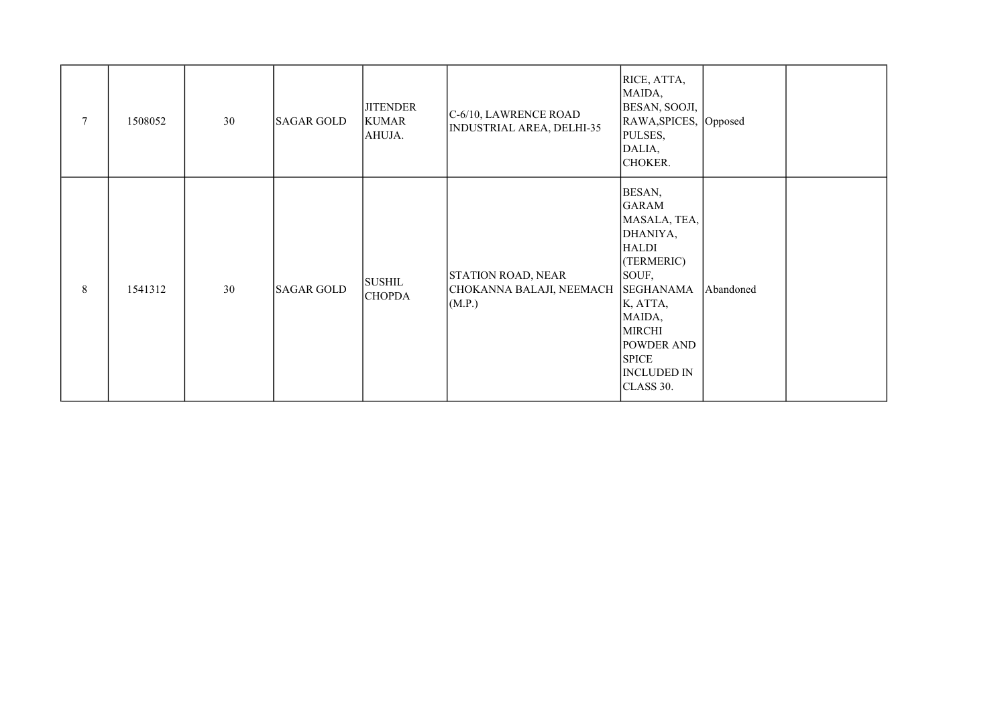| $\tau$         | 1508052 | 30 | <b>SAGAR GOLD</b> | <b>JITENDER</b><br><b>KUMAR</b><br>AHUJA. | C-6/10, LAWRENCE ROAD<br><b>INDUSTRIAL AREA, DELHI-35</b> | RICE, ATTA,<br>MAIDA,<br>BESAN, SOOJI,<br>RAWA, SPICES, Opposed<br>PULSES,<br>DALIA,<br>CHOKER.                                                                                                                              |           |  |
|----------------|---------|----|-------------------|-------------------------------------------|-----------------------------------------------------------|------------------------------------------------------------------------------------------------------------------------------------------------------------------------------------------------------------------------------|-----------|--|
| $8\phantom{.}$ | 1541312 | 30 | <b>SAGAR GOLD</b> | <b>SUSHIL</b><br><b>CHOPDA</b>            | STATION ROAD, NEAR<br>CHOKANNA BALAJI, NEEMACH<br>(M.P.)  | BESAN,<br><b>GARAM</b><br>MASALA, TEA,<br>DHANIYA,<br><b>HALDI</b><br>(TERMERIC)<br>SOUF,<br><b>SEGHANAMA</b><br>K, ATTA,<br>MAIDA,<br><b>MIRCHI</b><br><b>POWDER AND</b><br><b>SPICE</b><br><b>INCLUDED IN</b><br>CLASS 30. | Abandoned |  |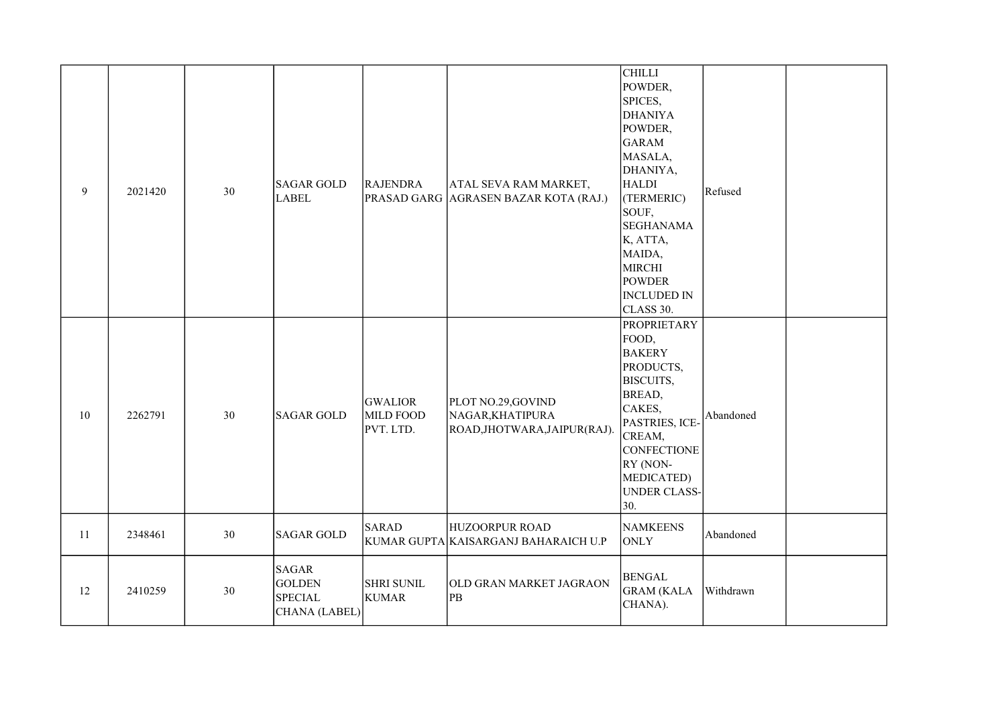| 9  | 2021420 | 30 | <b>SAGAR GOLD</b><br><b>LABEL</b>                                | <b>RAJENDRA</b>                          | ATAL SEVA RAM MARKET,<br>PRASAD GARG AGRASEN BAZAR KOTA (RAJ.)        | <b>CHILLI</b><br>POWDER,<br>SPICES,<br><b>DHANIYA</b><br>POWDER,<br><b>GARAM</b><br>MASALA,<br>DHANIYA,<br><b>HALDI</b><br>(TERMERIC)<br>SOUF,<br><b>SEGHANAMA</b><br>K, ATTA,<br>MAIDA,<br><b>MIRCHI</b><br><b>POWDER</b><br><b>INCLUDED IN</b><br>CLASS 30. | Refused   |  |
|----|---------|----|------------------------------------------------------------------|------------------------------------------|-----------------------------------------------------------------------|---------------------------------------------------------------------------------------------------------------------------------------------------------------------------------------------------------------------------------------------------------------|-----------|--|
| 10 | 2262791 | 30 | <b>SAGAR GOLD</b>                                                | <b>GWALIOR</b><br>MILD FOOD<br>PVT. LTD. | PLOT NO.29,GOVIND<br>NAGAR, KHATIPURA<br>ROAD, JHOTWARA, JAIPUR(RAJ). | <b>PROPRIETARY</b><br>FOOD,<br><b>BAKERY</b><br>PRODUCTS,<br>BISCUITS,<br>BREAD,<br>CAKES,<br>PASTRIES, ICE-<br>CREAM,<br><b>CONFECTIONE</b><br>RY (NON-<br><b>MEDICATED)</b><br><b>UNDER CLASS-</b><br>30.                                                   | Abandoned |  |
| 11 | 2348461 | 30 | <b>SAGAR GOLD</b>                                                | <b>SARAD</b>                             | <b>HUZOORPUR ROAD</b><br>KUMAR GUPTA KAISARGANJ BAHARAICH U.P         | <b>NAMKEENS</b><br><b>ONLY</b>                                                                                                                                                                                                                                | Abandoned |  |
| 12 | 2410259 | 30 | <b>SAGAR</b><br><b>GOLDEN</b><br><b>SPECIAL</b><br>CHANA (LABEL) | <b>SHRI SUNIL</b><br><b>KUMAR</b>        | OLD GRAN MARKET JAGRAON<br>PB                                         | <b>BENGAL</b><br><b>GRAM (KALA</b><br>CHANA).                                                                                                                                                                                                                 | Withdrawn |  |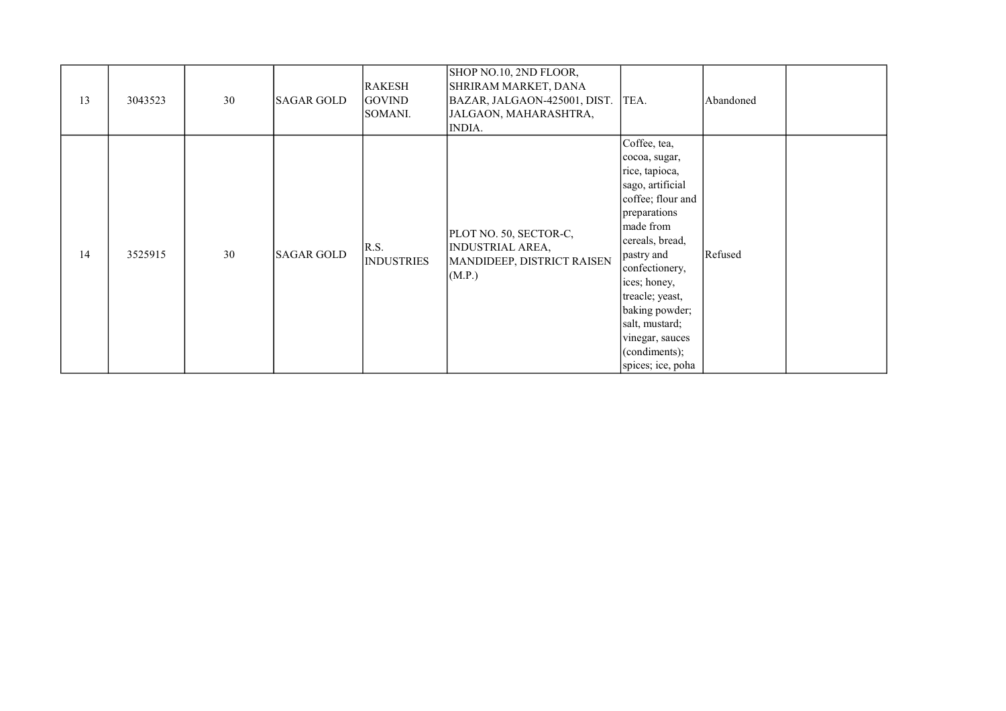| 13 | 3043523 | 30 | <b>SAGAR GOLD</b> | <b>RAKESH</b><br><b>GOVIND</b><br>SOMANI. | SHOP NO.10, 2ND FLOOR,<br>SHRIRAM MARKET, DANA<br>BAZAR, JALGAON-425001, DIST.<br>JALGAON, MAHARASHTRA,<br>INDIA. | TEA.                                                                                                                                                                                                                                                                                                              | Abandoned |  |
|----|---------|----|-------------------|-------------------------------------------|-------------------------------------------------------------------------------------------------------------------|-------------------------------------------------------------------------------------------------------------------------------------------------------------------------------------------------------------------------------------------------------------------------------------------------------------------|-----------|--|
| 14 | 3525915 | 30 | <b>SAGAR GOLD</b> | R.S.<br><b>INDUSTRIES</b>                 | PLOT NO. 50, SECTOR-C,<br><b>INDUSTRIAL AREA,</b><br>MANDIDEEP, DISTRICT RAISEN<br>(M.P.)                         | Coffee, tea,<br>cocoa, sugar,<br>rice, tapioca,<br>sago, artificial<br>coffee; flour and<br>preparations<br>made from<br>cereals, bread,<br>pastry and<br>confectionery,<br>ices; honey,<br>treacle; yeast,<br>baking powder;<br>salt, mustard;<br>vinegar, sauces<br>$\alpha$ (condiments);<br>spices; ice, poha | Refused   |  |